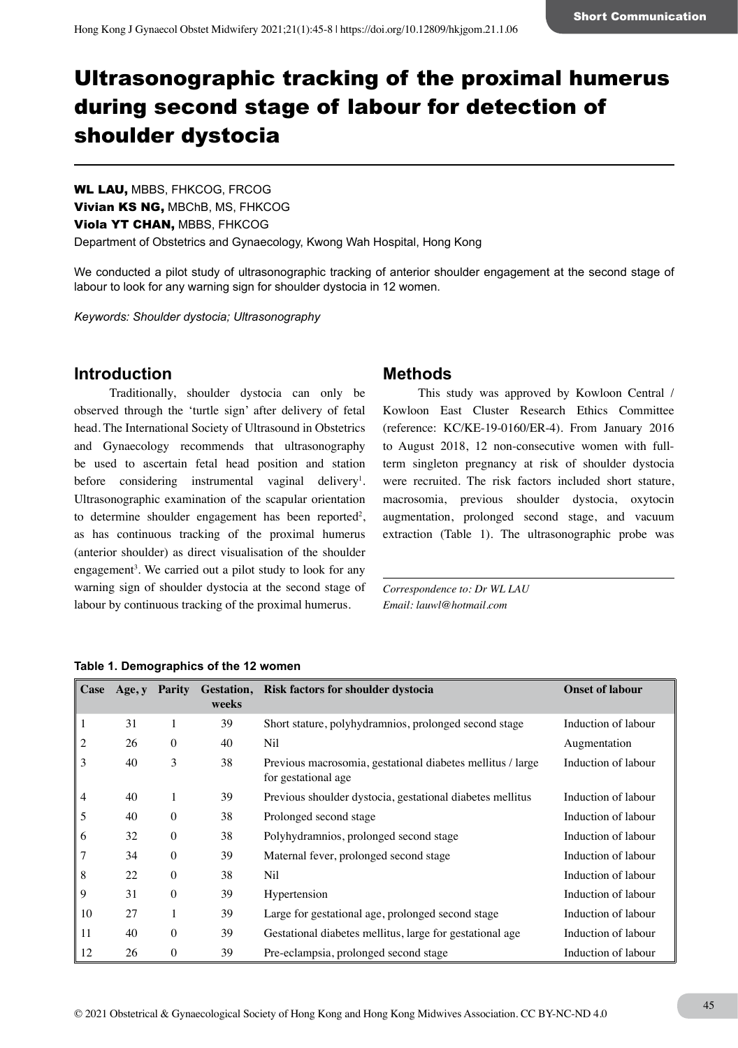# Ultrasonographic tracking of the proximal humerus during second stage of labour for detection of shoulder dystocia

WL LAU, MBBS, FHKCOG, FRCOG Vivian KS NG, MBChB, MS, FHKCOG Viola YT CHAN, MBBS, FHKCOG Department of Obstetrics and Gynaecology, Kwong Wah Hospital, Hong Kong

We conducted a pilot study of ultrasonographic tracking of anterior shoulder engagement at the second stage of labour to look for any warning sign for shoulder dystocia in 12 women.

*Keywords: Shoulder dystocia; Ultrasonography*

# **Introduction**

Traditionally, shoulder dystocia can only be observed through the 'turtle sign' after delivery of fetal head. The International Society of Ultrasound in Obstetrics and Gynaecology recommends that ultrasonography be used to ascertain fetal head position and station before considering instrumental vaginal delivery<sup>1</sup>. Ultrasonographic examination of the scapular orientation to determine shoulder engagement has been reported<sup>2</sup>, as has continuous tracking of the proximal humerus (anterior shoulder) as direct visualisation of the shoulder engagement<sup>3</sup>. We carried out a pilot study to look for any warning sign of shoulder dystocia at the second stage of labour by continuous tracking of the proximal humerus.

### **Methods**

This study was approved by Kowloon Central / Kowloon East Cluster Research Ethics Committee (reference: KC/KE-19-0160/ER-4). From January 2016 to August 2018, 12 non-consecutive women with fullterm singleton pregnancy at risk of shoulder dystocia were recruited. The risk factors included short stature, macrosomia, previous shoulder dystocia, oxytocin augmentation, prolonged second stage, and vacuum extraction (Table 1). The ultrasonographic probe was

*Correspondence to: Dr WL LAU Email: lauwl@hotmail.com*

| Case           | Age, y | Parity       | weeks | Gestation, Risk factors for shoulder dystocia                                     | <b>Onset of labour</b> |
|----------------|--------|--------------|-------|-----------------------------------------------------------------------------------|------------------------|
|                | 31     |              | 39    | Short stature, polyhydramnios, prolonged second stage                             | Induction of labour    |
| $\overline{2}$ | 26     | $\theta$     | 40    | Nil                                                                               | Augmentation           |
| 3              | 40     | 3            | 38    | Previous macrosomia, gestational diabetes mellitus / large<br>for gestational age | Induction of labour    |
| $\overline{4}$ | 40     |              | 39    | Previous shoulder dystocia, gestational diabetes mellitus                         | Induction of labour    |
| 5              | 40     | $\theta$     | 38    | Prolonged second stage                                                            | Induction of labour    |
| 6              | 32     | $\theta$     | 38    | Polyhydramnios, prolonged second stage                                            | Induction of labour    |
| 7              | 34     | $\theta$     | 39    | Maternal fever, prolonged second stage                                            | Induction of labour    |
| 8              | 22     | $\mathbf{0}$ | 38    | Nil                                                                               | Induction of labour    |
| 9              | 31     | $\theta$     | 39    | Hypertension                                                                      | Induction of labour    |
| 10             | 27     | 1            | 39    | Large for gestational age, prolonged second stage                                 | Induction of labour    |
| 11             | 40     | $\theta$     | 39    | Gestational diabetes mellitus, large for gestational age                          | Induction of labour    |
| 12             | 26     | $\theta$     | 39    | Pre-eclampsia, prolonged second stage                                             | Induction of labour    |

|  | Table 1. Demographics of the 12 women |  |  |  |
|--|---------------------------------------|--|--|--|
|--|---------------------------------------|--|--|--|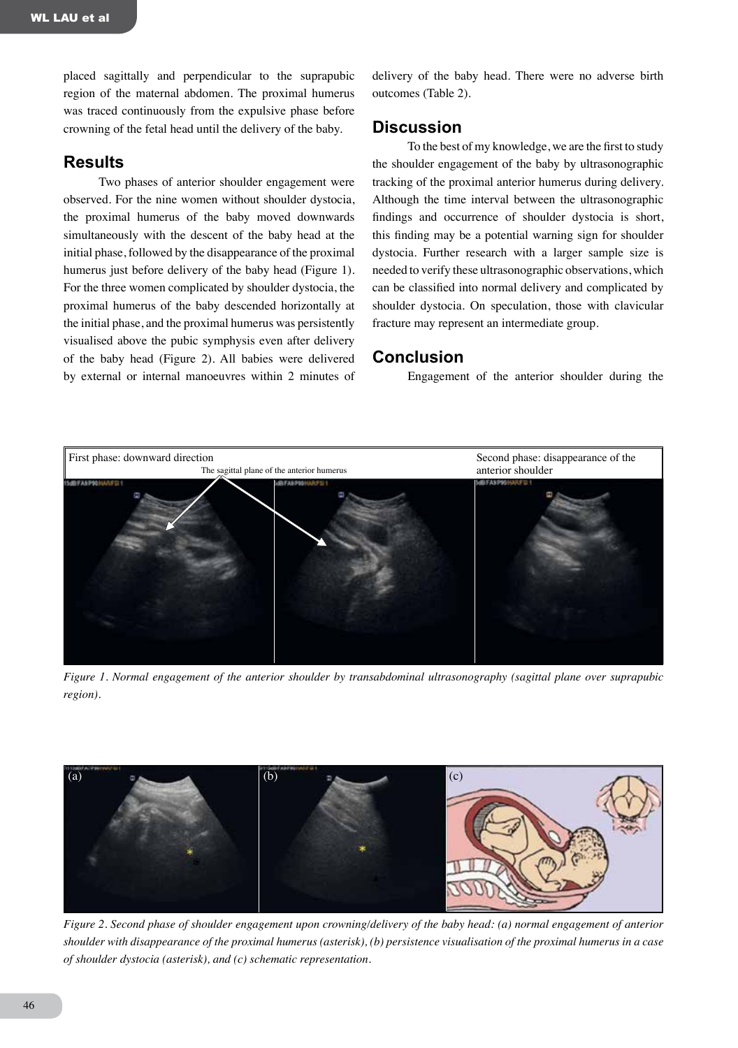placed sagittally and perpendicular to the suprapubic region of the maternal abdomen. The proximal humerus was traced continuously from the expulsive phase before crowning of the fetal head until the delivery of the baby.

## **Results**

Two phases of anterior shoulder engagement were observed. For the nine women without shoulder dystocia, the proximal humerus of the baby moved downwards simultaneously with the descent of the baby head at the initial phase, followed by the disappearance of the proximal humerus just before delivery of the baby head (Figure 1). For the three women complicated by shoulder dystocia, the proximal humerus of the baby descended horizontally at the initial phase, and the proximal humerus was persistently visualised above the pubic symphysis even after delivery of the baby head (Figure 2). All babies were delivered by external or internal manoeuvres within 2 minutes of delivery of the baby head. There were no adverse birth outcomes (Table 2).

#### **Discussion**

To the best of my knowledge, we are the first to study the shoulder engagement of the baby by ultrasonographic tracking of the proximal anterior humerus during delivery. Although the time interval between the ultrasonographic findings and occurrence of shoulder dystocia is short, this finding may be a potential warning sign for shoulder dystocia. Further research with a larger sample size is needed to verify these ultrasonographic observations, which can be classified into normal delivery and complicated by shoulder dystocia. On speculation, those with clavicular fracture may represent an intermediate group.

#### **Conclusion**

Engagement of the anterior shoulder during the



*Figure 1. Normal engagement of the anterior shoulder by transabdominal ultrasonography (sagittal plane over suprapubic region).*



*Figure 2. Second phase of shoulder engagement upon crowning/delivery of the baby head: (a) normal engagement of anterior shoulder with disappearance of the proximal humerus (asterisk), (b) persistence visualisation of the proximal humerus in a case of shoulder dystocia (asterisk), and (c) schematic representation.*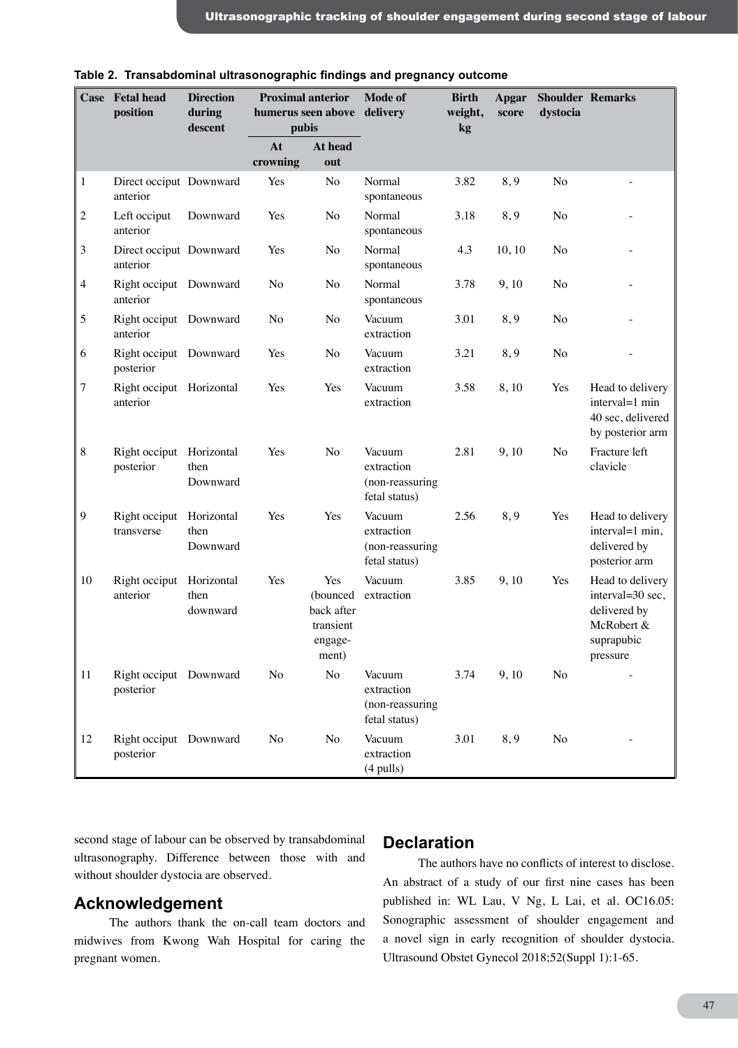|                | Case Fetal head<br>position           | <b>Direction</b><br>during<br>descent | <b>Proximal anterior</b><br>humerus seen above delivery<br>pubis |                                                                | <b>Mode of</b>                                           | <b>Birth</b><br>weight,<br>kg | Apgar<br>score | dystocia       | <b>Shoulder Remarks</b>                                                                      |
|----------------|---------------------------------------|---------------------------------------|------------------------------------------------------------------|----------------------------------------------------------------|----------------------------------------------------------|-------------------------------|----------------|----------------|----------------------------------------------------------------------------------------------|
|                |                                       |                                       | At                                                               | At head                                                        |                                                          |                               |                |                |                                                                                              |
|                |                                       |                                       | crowning                                                         | out                                                            |                                                          |                               |                |                |                                                                                              |
| $\mathbf{1}$   | Direct occiput Downward<br>anterior   |                                       | Yes                                                              | N <sub>o</sub>                                                 | Normal<br>spontaneous                                    | 3.82                          | 8,9            | N <sub>o</sub> | $\qquad \qquad -$                                                                            |
| $\overline{c}$ | Left occiput<br>anterior              | Downward                              | Yes                                                              | No                                                             | Normal<br>spontaneous                                    | 3.18                          | 8,9            | No             |                                                                                              |
| 3              | Direct occiput Downward<br>anterior   |                                       | Yes                                                              | No                                                             | Normal<br>spontaneous                                    | 4.3                           | 10, 10         | No             |                                                                                              |
| 4              | Right occiput Downward<br>anterior    |                                       | No                                                               | No                                                             | Normal<br>spontaneous                                    | 3.78                          | 9,10           | No             |                                                                                              |
| 5              | Right occiput Downward<br>anterior    |                                       | No                                                               | No                                                             | Vacuum<br>extraction                                     | 3.01                          | 8,9            | No             |                                                                                              |
| 6              | Right occiput Downward<br>posterior   |                                       | Yes                                                              | No                                                             | Vacuum<br>extraction                                     | 3.21                          | 8,9            | No             |                                                                                              |
| 7              | Right occiput Horizontal<br>anterior  |                                       | Yes                                                              | Yes                                                            | Vacuum<br>extraction                                     | 3.58                          | 8,10           | Yes            | Head to delivery<br>interval=1 min<br>40 sec, delivered<br>by posterior arm                  |
| $\,8\,$        | Right occiput Horizontal<br>posterior | then<br>Downward                      | Yes                                                              | No                                                             | Vacuum<br>extraction<br>(non-reassuring<br>fetal status) | 2.81                          | 9,10           | No             | Fracture left<br>clavicle                                                                    |
| 9              | Right occiput<br>transverse           | Horizontal<br>then<br>Downward        | Yes                                                              | Yes                                                            | Vacuum<br>extraction<br>(non-reassuring<br>fetal status) | 2.56                          | 8,9            | Yes            | Head to delivery<br>interval=1 min,<br>delivered by<br>posterior arm                         |
| 10             | Right occiput<br>anterior             | Horizontal<br>then<br>downward        | Yes                                                              | Yes<br>(bounced<br>back after<br>transient<br>engage-<br>ment) | Vacuum<br>extraction                                     | 3.85                          | 9,10           | Yes            | Head to delivery<br>interval=30 sec,<br>delivered by<br>McRobert &<br>suprapubic<br>pressure |
| 11             | Right occiput Downward<br>posterior   |                                       | No                                                               | No                                                             | Vacuum<br>extraction<br>(non-reassuring<br>fetal status) | 3.74                          | 9,10           | No             |                                                                                              |
| 12             | Right occiput Downward<br>posterior   |                                       | No                                                               | No                                                             | Vacuum<br>extraction<br>$(4$ pulls)                      | 3.01                          | 8,9            | No             |                                                                                              |

**Table 2. Transabdominal ultrasonographic findings and pregnancy outcome**

second stage of labour can be observed by transabdominal ultrasonography. Difference between those with and without shoulder dystocia are observed.

# **Acknowledgement**

The authors thank the on-call team doctors and midwives from Kwong Wah Hospital for caring the pregnant women.

## **Declaration**

The authors have no conflicts of interest to disclose. An abstract of a study of our first nine cases has been published in: WL Lau, V Ng, L Lai, et al. OC16.05: Sonographic assessment of shoulder engagement and a novel sign in early recognition of shoulder dystocia. Ultrasound Obstet Gynecol 2018;52(Suppl 1):1-65.